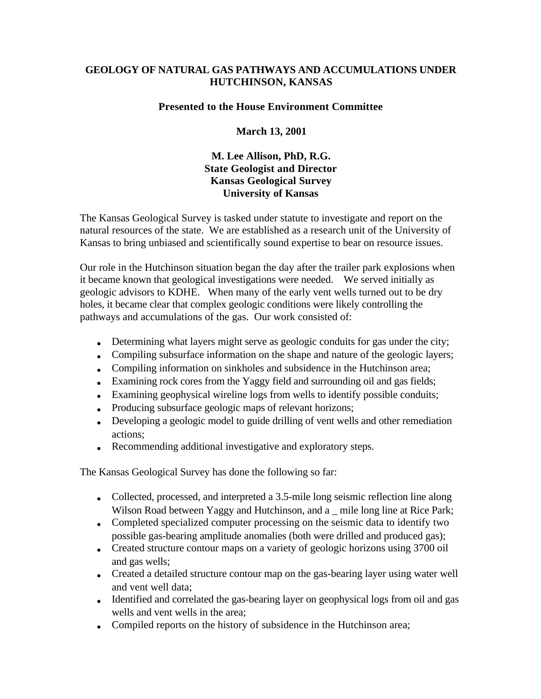## **GEOLOGY OF NATURAL GAS PATHWAYS AND ACCUMULATIONS UNDER HUTCHINSON, KANSAS**

## **Presented to the House Environment Committee**

## **March 13, 2001**

## **M. Lee Allison, PhD, R.G. State Geologist and Director Kansas Geological Survey University of Kansas**

The Kansas Geological Survey is tasked under statute to investigate and report on the natural resources of the state. We are established as a research unit of the University of Kansas to bring unbiased and scientifically sound expertise to bear on resource issues.

Our role in the Hutchinson situation began the day after the trailer park explosions when it became known that geological investigations were needed. We served initially as geologic advisors to KDHE. When many of the early vent wells turned out to be dry holes, it became clear that complex geologic conditions were likely controlling the pathways and accumulations of the gas. Our work consisted of:

- Determining what layers might serve as geologic conduits for gas under the city;
- Compiling subsurface information on the shape and nature of the geologic layers;
- Compiling information on sinkholes and subsidence in the Hutchinson area;
- Examining rock cores from the Yaggy field and surrounding oil and gas fields;
- Examining geophysical wireline logs from wells to identify possible conduits;
- Producing subsurface geologic maps of relevant horizons;
- Developing a geologic model to guide drilling of vent wells and other remediation actions;
- Recommending additional investigative and exploratory steps.

The Kansas Geological Survey has done the following so far:

- Collected, processed, and interpreted a 3.5-mile long seismic reflection line along Wilson Road between Yaggy and Hutchinson, and a \_ mile long line at Rice Park;
- Completed specialized computer processing on the seismic data to identify two possible gas-bearing amplitude anomalies (both were drilled and produced gas);
- Created structure contour maps on a variety of geologic horizons using 3700 oil and gas wells;
- Created a detailed structure contour map on the gas-bearing layer using water well and vent well data;
- Identified and correlated the gas-bearing layer on geophysical logs from oil and gas wells and vent wells in the area;
- Compiled reports on the history of subsidence in the Hutchinson area;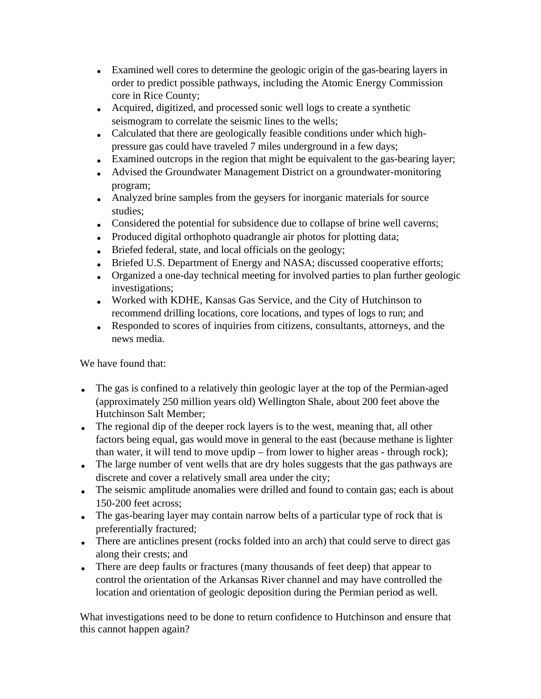- Examined well cores to determine the geologic origin of the gas-bearing layers in order to predict possible pathways, including the Atomic Energy Commission core in Rice County;
- Acquired, digitized, and processed sonic well logs to create a synthetic seismogram to correlate the seismic lines to the wells;
- Calculated that there are geologically feasible conditions under which highpressure gas could have traveled 7 miles underground in a few days;
- Examined outcrops in the region that might be equivalent to the gas-bearing layer;
- Advised the Groundwater Management District on a groundwater-monitoring program;
- Analyzed brine samples from the geysers for inorganic materials for source studies;
- Considered the potential for subsidence due to collapse of brine well caverns;
- Produced digital orthophoto quadrangle air photos for plotting data;
- Briefed federal, state, and local officials on the geology;
- Briefed U.S. Department of Energy and NASA; discussed cooperative efforts;
- Organized a one-day technical meeting for involved parties to plan further geologic investigations;
- Worked with KDHE, Kansas Gas Service, and the City of Hutchinson to recommend drilling locations, core locations, and types of logs to run; and
- Responded to scores of inquiries from citizens, consultants, attorneys, and the news media.

We have found that:

- The gas is confined to a relatively thin geologic layer at the top of the Permian-aged (approximately 250 million years old) Wellington Shale, about 200 feet above the Hutchinson Salt Member;
- The regional dip of the deeper rock layers is to the west, meaning that, all other factors being equal, gas would move in general to the east (because methane is lighter than water, it will tend to move updip – from lower to higher areas - through rock);
- The large number of vent wells that are dry holes suggests that the gas pathways are discrete and cover a relatively small area under the city;
- The seismic amplitude anomalies were drilled and found to contain gas; each is about 150-200 feet across;
- The gas-bearing layer may contain narrow belts of a particular type of rock that is preferentially fractured;
- There are anticlines present (rocks folded into an arch) that could serve to direct gas along their crests; and
- There are deep faults or fractures (many thousands of feet deep) that appear to control the orientation of the Arkansas River channel and may have controlled the location and orientation of geologic deposition during the Permian period as well.

What investigations need to be done to return confidence to Hutchinson and ensure that this cannot happen again?